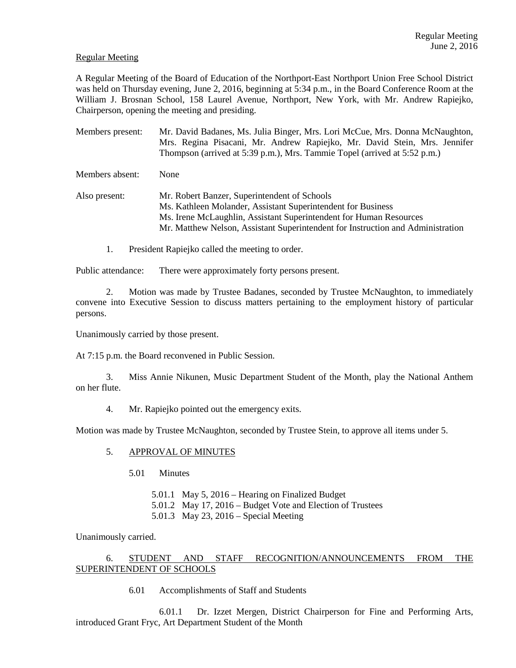### Regular Meeting

A Regular Meeting of the Board of Education of the Northport-East Northport Union Free School District was held on Thursday evening, June 2, 2016, beginning at 5:34 p.m., in the Board Conference Room at the William J. Brosnan School, 158 Laurel Avenue, Northport, New York, with Mr. Andrew Rapiejko, Chairperson, opening the meeting and presiding.

Members present: Mr. David Badanes, Ms. Julia Binger, Mrs. Lori McCue, Mrs. Donna McNaughton, Mrs. Regina Pisacani, Mr. Andrew Rapiejko, Mr. David Stein, Mrs. Jennifer Thompson (arrived at 5:39 p.m.), Mrs. Tammie Topel (arrived at 5:52 p.m.) Members absent: None Also present: Mr. Robert Banzer, Superintendent of Schools Ms. Kathleen Molander, Assistant Superintendent for Business

- Ms. Irene McLaughlin, Assistant Superintendent for Human Resources Mr. Matthew Nelson, Assistant Superintendent for Instruction and Administration
- 1. President Rapiejko called the meeting to order.

Public attendance: There were approximately forty persons present.

2. Motion was made by Trustee Badanes, seconded by Trustee McNaughton, to immediately convene into Executive Session to discuss matters pertaining to the employment history of particular persons.

Unanimously carried by those present.

At 7:15 p.m. the Board reconvened in Public Session.

3. Miss Annie Nikunen, Music Department Student of the Month, play the National Anthem on her flute.

4. Mr. Rapiejko pointed out the emergency exits.

Motion was made by Trustee McNaughton, seconded by Trustee Stein, to approve all items under 5.

#### 5. APPROVAL OF MINUTES

5.01 Minutes

5.01.1 May 5, 2016 – Hearing on Finalized Budget 5.01.2 May 17, 2016 – Budget Vote and Election of Trustees

5.01.3 May 23, 2016 – Special Meeting

Unanimously carried.

### 6. STUDENT AND STAFF RECOGNITION/ANNOUNCEMENTS FROM THE SUPERINTENDENT OF SCHOOLS

6.01 Accomplishments of Staff and Students

 6.01.1 Dr. Izzet Mergen, District Chairperson for Fine and Performing Arts, introduced Grant Fryc, Art Department Student of the Month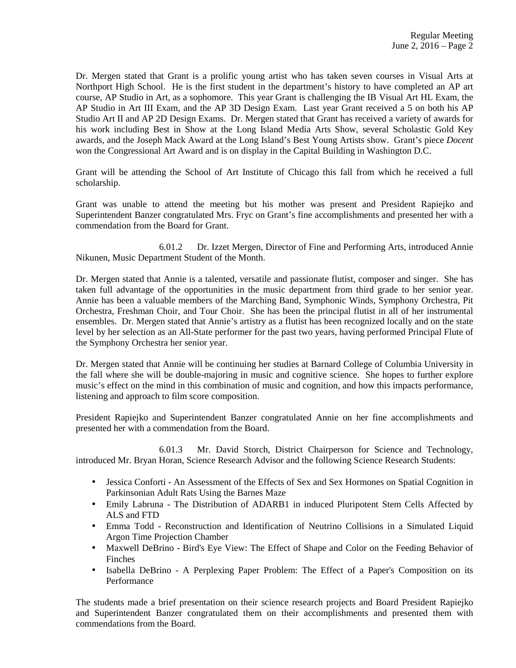Dr. Mergen stated that Grant is a prolific young artist who has taken seven courses in Visual Arts at Northport High School. He is the first student in the department's history to have completed an AP art course, AP Studio in Art, as a sophomore. This year Grant is challenging the IB Visual Art HL Exam, the AP Studio in Art III Exam, and the AP 3D Design Exam. Last year Grant received a 5 on both his AP Studio Art II and AP 2D Design Exams. Dr. Mergen stated that Grant has received a variety of awards for his work including Best in Show at the Long Island Media Arts Show, several Scholastic Gold Key awards, and the Joseph Mack Award at the Long Island's Best Young Artists show. Grant's piece *Docent* won the Congressional Art Award and is on display in the Capital Building in Washington D.C.

Grant will be attending the School of Art Institute of Chicago this fall from which he received a full scholarship.

Grant was unable to attend the meeting but his mother was present and President Rapiejko and Superintendent Banzer congratulated Mrs. Fryc on Grant's fine accomplishments and presented her with a commendation from the Board for Grant.

 6.01.2 Dr. Izzet Mergen, Director of Fine and Performing Arts, introduced Annie Nikunen, Music Department Student of the Month.

Dr. Mergen stated that Annie is a talented, versatile and passionate flutist, composer and singer. She has taken full advantage of the opportunities in the music department from third grade to her senior year. Annie has been a valuable members of the Marching Band, Symphonic Winds, Symphony Orchestra, Pit Orchestra, Freshman Choir, and Tour Choir. She has been the principal flutist in all of her instrumental ensembles. Dr. Mergen stated that Annie's artistry as a flutist has been recognized locally and on the state level by her selection as an All-State performer for the past two years, having performed Principal Flute of the Symphony Orchestra her senior year.

Dr. Mergen stated that Annie will be continuing her studies at Barnard College of Columbia University in the fall where she will be double-majoring in music and cognitive science. She hopes to further explore music's effect on the mind in this combination of music and cognition, and how this impacts performance, listening and approach to film score composition.

President Rapiejko and Superintendent Banzer congratulated Annie on her fine accomplishments and presented her with a commendation from the Board.

 6.01.3 Mr. David Storch, District Chairperson for Science and Technology, introduced Mr. Bryan Horan, Science Research Advisor and the following Science Research Students:

- Jessica Conforti An Assessment of the Effects of Sex and Sex Hormones on Spatial Cognition in Parkinsonian Adult Rats Using the Barnes Maze
- Emily Labruna The Distribution of ADARB1 in induced Pluripotent Stem Cells Affected by ALS and FTD
- Emma Todd Reconstruction and Identification of Neutrino Collisions in a Simulated Liquid Argon Time Projection Chamber
- Maxwell DeBrino Bird's Eye View: The Effect of Shape and Color on the Feeding Behavior of Finches
- Isabella DeBrino A Perplexing Paper Problem: The Effect of a Paper's Composition on its Performance

The students made a brief presentation on their science research projects and Board President Rapiejko and Superintendent Banzer congratulated them on their accomplishments and presented them with commendations from the Board.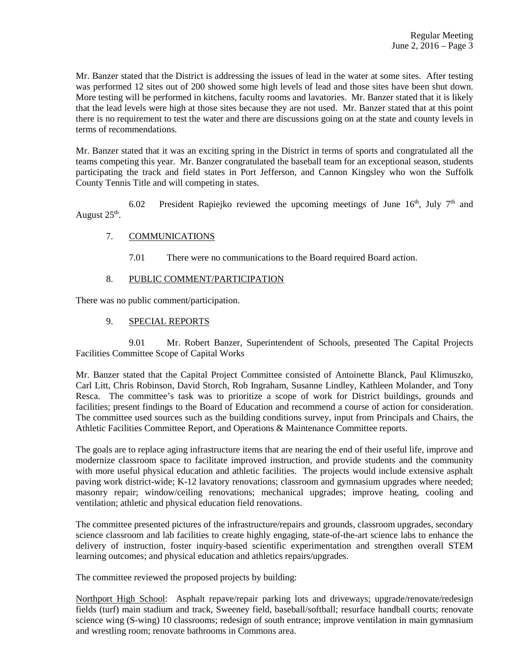Mr. Banzer stated that the District is addressing the issues of lead in the water at some sites. After testing was performed 12 sites out of 200 showed some high levels of lead and those sites have been shut down. More testing will be performed in kitchens, faculty rooms and lavatories. Mr. Banzer stated that it is likely that the lead levels were high at those sites because they are not used. Mr. Banzer stated that at this point there is no requirement to test the water and there are discussions going on at the state and county levels in terms of recommendations.

Mr. Banzer stated that it was an exciting spring in the District in terms of sports and congratulated all the teams competing this year. Mr. Banzer congratulated the baseball team for an exceptional season, students participating the track and field states in Port Jefferson, and Cannon Kingsley who won the Suffolk County Tennis Title and will competing in states.

6.02 President Rapiejko reviewed the upcoming meetings of June  $16<sup>th</sup>$ , July  $7<sup>th</sup>$  and August  $25<sup>th</sup>$ .

## 7. COMMUNICATIONS

7.01 There were no communications to the Board required Board action.

### 8. PUBLIC COMMENT/PARTICIPATION

There was no public comment/participation.

#### 9. SPECIAL REPORTS

 9.01 Mr. Robert Banzer, Superintendent of Schools, presented The Capital Projects Facilities Committee Scope of Capital Works

Mr. Banzer stated that the Capital Project Committee consisted of Antoinette Blanck, Paul Klimuszko, Carl Litt, Chris Robinson, David Storch, Rob Ingraham, Susanne Lindley, Kathleen Molander, and Tony Resca. The committee's task was to prioritize a scope of work for District buildings, grounds and facilities; present findings to the Board of Education and recommend a course of action for consideration. The committee used sources such as the building conditions survey, input from Principals and Chairs, the Athletic Facilities Committee Report, and Operations & Maintenance Committee reports.

The goals are to replace aging infrastructure items that are nearing the end of their useful life, improve and modernize classroom space to facilitate improved instruction, and provide students and the community with more useful physical education and athletic facilities. The projects would include extensive asphalt paving work district-wide; K-12 lavatory renovations; classroom and gymnasium upgrades where needed; masonry repair; window/ceiling renovations; mechanical upgrades; improve heating, cooling and ventilation; athletic and physical education field renovations.

The committee presented pictures of the infrastructure/repairs and grounds, classroom upgrades, secondary science classroom and lab facilities to create highly engaging, state-of-the-art science labs to enhance the delivery of instruction, foster inquiry-based scientific experimentation and strengthen overall STEM learning outcomes; and physical education and athletics repairs/upgrades.

The committee reviewed the proposed projects by building:

Northport High School: Asphalt repave/repair parking lots and driveways; upgrade/renovate/redesign fields (turf) main stadium and track, Sweeney field, baseball/softball; resurface handball courts; renovate science wing (S-wing) 10 classrooms; redesign of south entrance; improve ventilation in main gymnasium and wrestling room; renovate bathrooms in Commons area.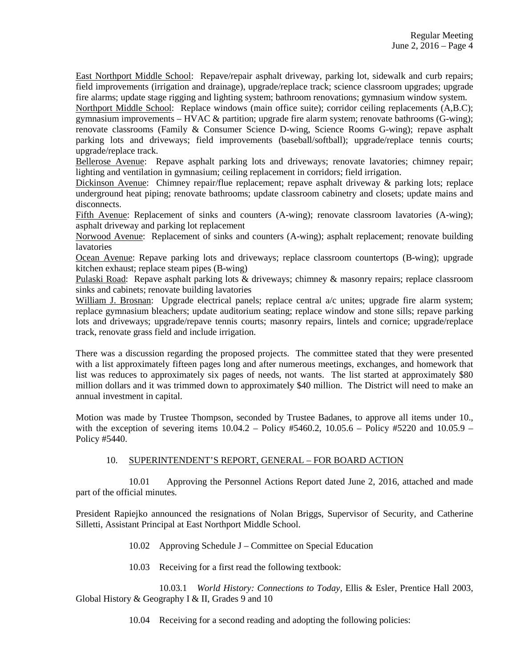East Northport Middle School: Repave/repair asphalt driveway, parking lot, sidewalk and curb repairs; field improvements (irrigation and drainage), upgrade/replace track; science classroom upgrades; upgrade fire alarms; update stage rigging and lighting system; bathroom renovations; gymnasium window system.

Northport Middle School: Replace windows (main office suite); corridor ceiling replacements (A,B.C); gymnasium improvements – HVAC  $\&$  partition; upgrade fire alarm system; renovate bathrooms (G-wing); renovate classrooms (Family & Consumer Science D-wing, Science Rooms G-wing); repave asphalt parking lots and driveways; field improvements (baseball/softball); upgrade/replace tennis courts; upgrade/replace track.

Bellerose Avenue: Repave asphalt parking lots and driveways; renovate lavatories; chimney repair; lighting and ventilation in gymnasium; ceiling replacement in corridors; field irrigation.

Dickinson Avenue: Chimney repair/flue replacement; repave asphalt driveway & parking lots; replace underground heat piping; renovate bathrooms; update classroom cabinetry and closets; update mains and disconnects.

Fifth Avenue: Replacement of sinks and counters (A-wing); renovate classroom lavatories (A-wing); asphalt driveway and parking lot replacement

Norwood Avenue: Replacement of sinks and counters (A-wing); asphalt replacement; renovate building lavatories

Ocean Avenue: Repave parking lots and driveways; replace classroom countertops (B-wing); upgrade kitchen exhaust; replace steam pipes (B-wing)

Pulaski Road: Repave asphalt parking lots & driveways; chimney & masonry repairs; replace classroom sinks and cabinets; renovate building lavatories

William J. Brosnan: Upgrade electrical panels; replace central a/c unites; upgrade fire alarm system; replace gymnasium bleachers; update auditorium seating; replace window and stone sills; repave parking lots and driveways; upgrade/repave tennis courts; masonry repairs, lintels and cornice; upgrade/replace track, renovate grass field and include irrigation.

There was a discussion regarding the proposed projects. The committee stated that they were presented with a list approximately fifteen pages long and after numerous meetings, exchanges, and homework that list was reduces to approximately six pages of needs, not wants. The list started at approximately \$80 million dollars and it was trimmed down to approximately \$40 million. The District will need to make an annual investment in capital.

Motion was made by Trustee Thompson, seconded by Trustee Badanes, to approve all items under 10., with the exception of severing items  $10.04.2 -$  Policy #5460.2,  $10.05.6 -$  Policy #5220 and  $10.05.9 -$ Policy #5440.

# 10. SUPERINTENDENT'S REPORT, GENERAL – FOR BOARD ACTION

 10.01 Approving the Personnel Actions Report dated June 2, 2016, attached and made part of the official minutes.

President Rapiejko announced the resignations of Nolan Briggs, Supervisor of Security, and Catherine Silletti, Assistant Principal at East Northport Middle School.

- 10.02 Approving Schedule J Committee on Special Education
- 10.03 Receiving for a first read the following textbook:

 10.03.1 *World History: Connections to Today,* Ellis & Esler, Prentice Hall 2003, Global History & Geography I & II, Grades 9 and 10

10.04 Receiving for a second reading and adopting the following policies: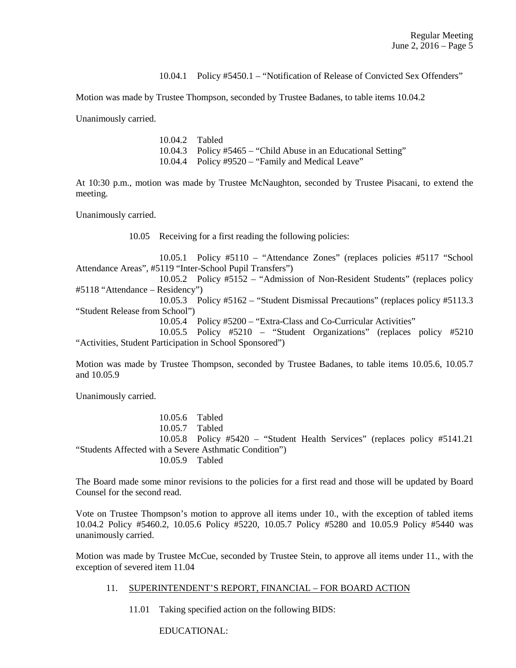10.04.1 Policy #5450.1 – "Notification of Release of Convicted Sex Offenders"

Motion was made by Trustee Thompson, seconded by Trustee Badanes, to table items 10.04.2

Unanimously carried.

 10.04.2 Tabled 10.04.3 Policy #5465 – "Child Abuse in an Educational Setting" 10.04.4 Policy #9520 – "Family and Medical Leave"

At 10:30 p.m., motion was made by Trustee McNaughton, seconded by Trustee Pisacani, to extend the meeting.

Unanimously carried.

10.05 Receiving for a first reading the following policies:

 10.05.1 Policy #5110 – "Attendance Zones" (replaces policies #5117 "School Attendance Areas", #5119 "Inter-School Pupil Transfers")

 10.05.2 Policy #5152 – "Admission of Non-Resident Students" (replaces policy #5118 "Attendance – Residency")

 10.05.3 Policy #5162 – "Student Dismissal Precautions" (replaces policy #5113.3 "Student Release from School")

10.05.4 Policy #5200 – "Extra-Class and Co-Curricular Activities"

 10.05.5 Policy #5210 – "Student Organizations" (replaces policy #5210 "Activities, Student Participation in School Sponsored")

Motion was made by Trustee Thompson, seconded by Trustee Badanes, to table items 10.05.6, 10.05.7 and 10.05.9

Unanimously carried.

 10.05.6 Tabled 10.05.7 Tabled 10.05.8 Policy #5420 – "Student Health Services" (replaces policy #5141.21 "Students Affected with a Severe Asthmatic Condition") 10.05.9 Tabled

The Board made some minor revisions to the policies for a first read and those will be updated by Board Counsel for the second read.

Vote on Trustee Thompson's motion to approve all items under 10., with the exception of tabled items 10.04.2 Policy #5460.2, 10.05.6 Policy #5220, 10.05.7 Policy #5280 and 10.05.9 Policy #5440 was unanimously carried.

Motion was made by Trustee McCue, seconded by Trustee Stein, to approve all items under 11., with the exception of severed item 11.04

### 11. SUPERINTENDENT'S REPORT, FINANCIAL – FOR BOARD ACTION

11.01 Taking specified action on the following BIDS:

EDUCATIONAL: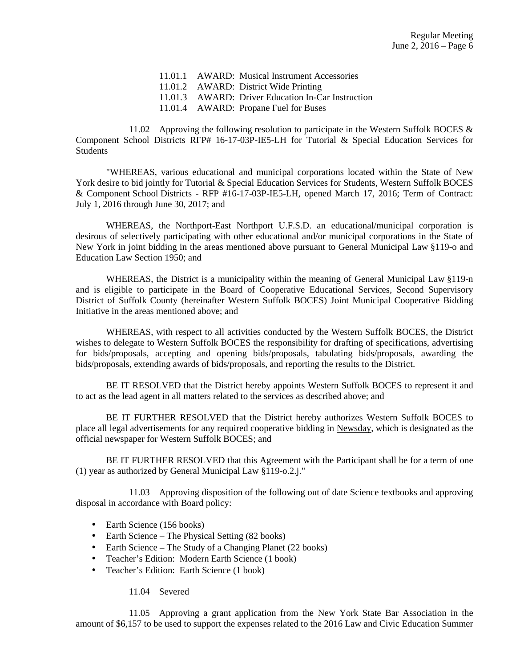| 11.01.1 AWARD: Musical Instrument Accessories      |
|----------------------------------------------------|
| 11.01.2 AWARD: District Wide Printing              |
| 11.01.3 AWARD: Driver Education In-Car Instruction |
| 11.01.4 AWARD: Propane Fuel for Buses              |

11.02 Approving the following resolution to participate in the Western Suffolk BOCES & Component School Districts RFP# 16-17-03P-IE5-LH for Tutorial & Special Education Services for **Students** 

 "WHEREAS, various educational and municipal corporations located within the State of New York desire to bid jointly for Tutorial & Special Education Services for Students, Western Suffolk BOCES & Component School Districts - RFP #16-17-03P-IE5-LH, opened March 17, 2016; Term of Contract: July 1, 2016 through June 30, 2017; and

 WHEREAS, the Northport-East Northport U.F.S.D. an educational/municipal corporation is desirous of selectively participating with other educational and/or municipal corporations in the State of New York in joint bidding in the areas mentioned above pursuant to General Municipal Law §119-o and Education Law Section 1950; and

WHEREAS, the District is a municipality within the meaning of General Municipal Law §119-n and is eligible to participate in the Board of Cooperative Educational Services, Second Supervisory District of Suffolk County (hereinafter Western Suffolk BOCES) Joint Municipal Cooperative Bidding Initiative in the areas mentioned above; and

 WHEREAS, with respect to all activities conducted by the Western Suffolk BOCES, the District wishes to delegate to Western Suffolk BOCES the responsibility for drafting of specifications, advertising for bids/proposals, accepting and opening bids/proposals, tabulating bids/proposals, awarding the bids/proposals, extending awards of bids/proposals, and reporting the results to the District.

 BE IT RESOLVED that the District hereby appoints Western Suffolk BOCES to represent it and to act as the lead agent in all matters related to the services as described above; and

 BE IT FURTHER RESOLVED that the District hereby authorizes Western Suffolk BOCES to place all legal advertisements for any required cooperative bidding in Newsday, which is designated as the official newspaper for Western Suffolk BOCES; and

 BE IT FURTHER RESOLVED that this Agreement with the Participant shall be for a term of one (1) year as authorized by General Municipal Law §119-o.2.j."

 11.03 Approving disposition of the following out of date Science textbooks and approving disposal in accordance with Board policy:

- Earth Science (156 books)
- Earth Science The Physical Setting (82 books)
- Earth Science The Study of a Changing Planet (22 books)
- Teacher's Edition: Modern Earth Science (1 book)
- Teacher's Edition: Earth Science (1 book)

11.04 Severed

 11.05 Approving a grant application from the New York State Bar Association in the amount of \$6,157 to be used to support the expenses related to the 2016 Law and Civic Education Summer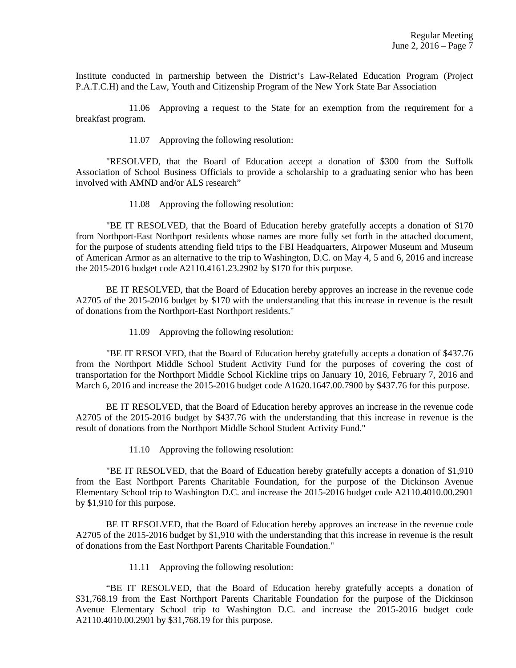Institute conducted in partnership between the District's Law-Related Education Program (Project P.A.T.C.H) and the Law, Youth and Citizenship Program of the New York State Bar Association

 11.06 Approving a request to the State for an exemption from the requirement for a breakfast program.

11.07 Approving the following resolution:

 "RESOLVED, that the Board of Education accept a donation of \$300 from the Suffolk Association of School Business Officials to provide a scholarship to a graduating senior who has been involved with AMND and/or ALS research"

11.08 Approving the following resolution:

 "BE IT RESOLVED, that the Board of Education hereby gratefully accepts a donation of \$170 from Northport-East Northport residents whose names are more fully set forth in the attached document, for the purpose of students attending field trips to the FBI Headquarters, Airpower Museum and Museum of American Armor as an alternative to the trip to Washington, D.C. on May 4, 5 and 6, 2016 and increase the 2015-2016 budget code A2110.4161.23.2902 by \$170 for this purpose.

 BE IT RESOLVED, that the Board of Education hereby approves an increase in the revenue code A2705 of the 2015-2016 budget by \$170 with the understanding that this increase in revenue is the result of donations from the Northport-East Northport residents."

11.09 Approving the following resolution:

 "BE IT RESOLVED, that the Board of Education hereby gratefully accepts a donation of \$437.76 from the Northport Middle School Student Activity Fund for the purposes of covering the cost of transportation for the Northport Middle School Kickline trips on January 10, 2016, February 7, 2016 and March 6, 2016 and increase the 2015-2016 budget code A1620.1647.00.7900 by \$437.76 for this purpose.

 BE IT RESOLVED, that the Board of Education hereby approves an increase in the revenue code A2705 of the 2015-2016 budget by \$437.76 with the understanding that this increase in revenue is the result of donations from the Northport Middle School Student Activity Fund."

11.10 Approving the following resolution:

 "BE IT RESOLVED, that the Board of Education hereby gratefully accepts a donation of \$1,910 from the East Northport Parents Charitable Foundation, for the purpose of the Dickinson Avenue Elementary School trip to Washington D.C. and increase the 2015-2016 budget code A2110.4010.00.2901 by \$1,910 for this purpose.

 BE IT RESOLVED, that the Board of Education hereby approves an increase in the revenue code A2705 of the 2015-2016 budget by \$1,910 with the understanding that this increase in revenue is the result of donations from the East Northport Parents Charitable Foundation."

11.11 Approving the following resolution:

 "BE IT RESOLVED, that the Board of Education hereby gratefully accepts a donation of \$31,768.19 from the East Northport Parents Charitable Foundation for the purpose of the Dickinson Avenue Elementary School trip to Washington D.C. and increase the 2015-2016 budget code A2110.4010.00.2901 by \$31,768.19 for this purpose.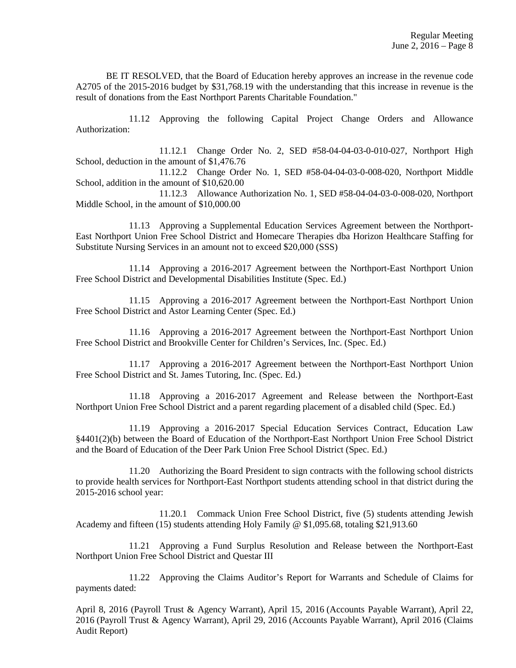BE IT RESOLVED, that the Board of Education hereby approves an increase in the revenue code A2705 of the 2015-2016 budget by \$31,768.19 with the understanding that this increase in revenue is the result of donations from the East Northport Parents Charitable Foundation."

 11.12 Approving the following Capital Project Change Orders and Allowance Authorization:

 11.12.1 Change Order No. 2, SED #58-04-04-03-0-010-027, Northport High School, deduction in the amount of \$1,476.76

 11.12.2 Change Order No. 1, SED #58-04-04-03-0-008-020, Northport Middle School, addition in the amount of \$10,620.00

 11.12.3 Allowance Authorization No. 1, SED #58-04-04-03-0-008-020, Northport Middle School, in the amount of \$10,000.00

 11.13 Approving a Supplemental Education Services Agreement between the Northport-East Northport Union Free School District and Homecare Therapies dba Horizon Healthcare Staffing for Substitute Nursing Services in an amount not to exceed \$20,000 (SSS)

 11.14 Approving a 2016-2017 Agreement between the Northport-East Northport Union Free School District and Developmental Disabilities Institute (Spec. Ed.)

 11.15 Approving a 2016-2017 Agreement between the Northport-East Northport Union Free School District and Astor Learning Center (Spec. Ed.)

 11.16 Approving a 2016-2017 Agreement between the Northport-East Northport Union Free School District and Brookville Center for Children's Services, Inc. (Spec. Ed.)

 11.17 Approving a 2016-2017 Agreement between the Northport-East Northport Union Free School District and St. James Tutoring, Inc. (Spec. Ed.)

 11.18 Approving a 2016-2017 Agreement and Release between the Northport-East Northport Union Free School District and a parent regarding placement of a disabled child (Spec. Ed.)

 11.19 Approving a 2016-2017 Special Education Services Contract, Education Law §4401(2)(b) between the Board of Education of the Northport-East Northport Union Free School District and the Board of Education of the Deer Park Union Free School District (Spec. Ed.)

 11.20 Authorizing the Board President to sign contracts with the following school districts to provide health services for Northport-East Northport students attending school in that district during the 2015-2016 school year:

 11.20.1 Commack Union Free School District, five (5) students attending Jewish Academy and fifteen (15) students attending Holy Family @ \$1,095.68, totaling \$21,913.60

 11.21 Approving a Fund Surplus Resolution and Release between the Northport-East Northport Union Free School District and Questar III

 11.22 Approving the Claims Auditor's Report for Warrants and Schedule of Claims for payments dated:

April 8, 2016 (Payroll Trust & Agency Warrant), April 15, 2016 (Accounts Payable Warrant), April 22, 2016 (Payroll Trust & Agency Warrant), April 29, 2016 (Accounts Payable Warrant), April 2016 (Claims Audit Report)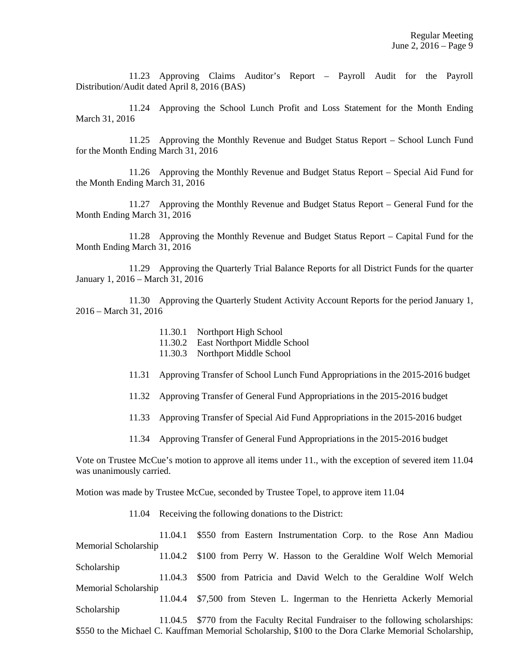11.23 Approving Claims Auditor's Report – Payroll Audit for the Payroll Distribution/Audit dated April 8, 2016 (BAS)

 11.24 Approving the School Lunch Profit and Loss Statement for the Month Ending March 31, 2016

 11.25 Approving the Monthly Revenue and Budget Status Report – School Lunch Fund for the Month Ending March 31, 2016

 11.26 Approving the Monthly Revenue and Budget Status Report – Special Aid Fund for the Month Ending March 31, 2016

 11.27 Approving the Monthly Revenue and Budget Status Report – General Fund for the Month Ending March 31, 2016

 11.28 Approving the Monthly Revenue and Budget Status Report – Capital Fund for the Month Ending March 31, 2016

 11.29 Approving the Quarterly Trial Balance Reports for all District Funds for the quarter January 1, 2016 – March 31, 2016

 11.30 Approving the Quarterly Student Activity Account Reports for the period January 1, 2016 – March 31, 2016

- 11.30.1 Northport High School
- 11.30.2 East Northport Middle School
- 11.30.3 Northport Middle School
- 11.31 Approving Transfer of School Lunch Fund Appropriations in the 2015-2016 budget
- 11.32 Approving Transfer of General Fund Appropriations in the 2015-2016 budget
- 11.33 Approving Transfer of Special Aid Fund Appropriations in the 2015-2016 budget
- 11.34 Approving Transfer of General Fund Appropriations in the 2015-2016 budget

Vote on Trustee McCue's motion to approve all items under 11., with the exception of severed item 11.04 was unanimously carried.

Motion was made by Trustee McCue, seconded by Trustee Topel, to approve item 11.04

11.04 Receiving the following donations to the District:

 11.04.1 \$550 from Eastern Instrumentation Corp. to the Rose Ann Madiou Memorial Scholarship 11.04.2 \$100 from Perry W. Hasson to the Geraldine Wolf Welch Memorial Scholarship 11.04.3 \$500 from Patricia and David Welch to the Geraldine Wolf Welch Memorial Scholarship 11.04.4 \$7,500 from Steven L. Ingerman to the Henrietta Ackerly Memorial Scholarship 11.04.5 \$770 from the Faculty Recital Fundraiser to the following scholarships: \$550 to the Michael C. Kauffman Memorial Scholarship, \$100 to the Dora Clarke Memorial Scholarship,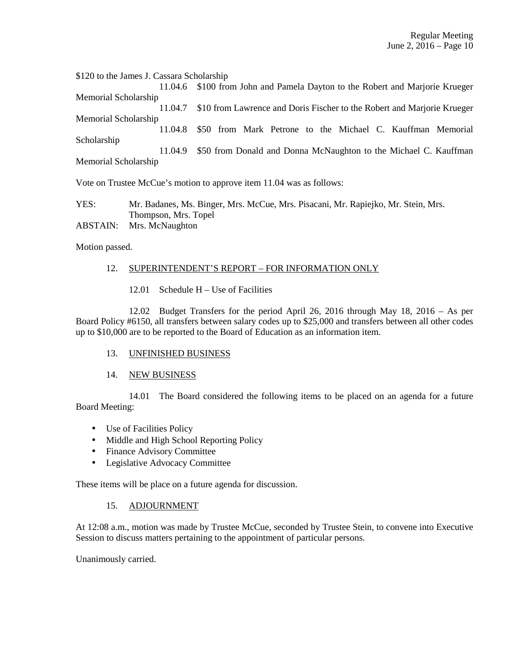\$120 to the James J. Cassara Scholarship 11.04.6 \$100 from John and Pamela Dayton to the Robert and Marjorie Krueger Memorial Scholarship 11.04.7 \$10 from Lawrence and Doris Fischer to the Robert and Marjorie Krueger Memorial Scholarship 11.04.8 \$50 from Mark Petrone to the Michael C. Kauffman Memorial Scholarship 11.04.9 \$50 from Donald and Donna McNaughton to the Michael C. Kauffman Memorial Scholarship

Vote on Trustee McCue's motion to approve item 11.04 was as follows:

YES: Mr. Badanes, Ms. Binger, Mrs. McCue, Mrs. Pisacani, Mr. Rapiejko, Mr. Stein, Mrs. Thompson, Mrs. Topel ABSTAIN: Mrs. McNaughton

Motion passed.

### 12. SUPERINTENDENT'S REPORT – FOR INFORMATION ONLY

12.01 Schedule H – Use of Facilities

 12.02 Budget Transfers for the period April 26, 2016 through May 18, 2016 – As per Board Policy #6150, all transfers between salary codes up to \$25,000 and transfers between all other codes up to \$10,000 are to be reported to the Board of Education as an information item.

### 13. UNFINISHED BUSINESS

### 14. NEW BUSINESS

 14.01 The Board considered the following items to be placed on an agenda for a future Board Meeting:

- Use of Facilities Policy
- Middle and High School Reporting Policy
- Finance Advisory Committee
- Legislative Advocacy Committee

These items will be place on a future agenda for discussion.

### 15. ADJOURNMENT

At 12:08 a.m., motion was made by Trustee McCue, seconded by Trustee Stein, to convene into Executive Session to discuss matters pertaining to the appointment of particular persons.

Unanimously carried.